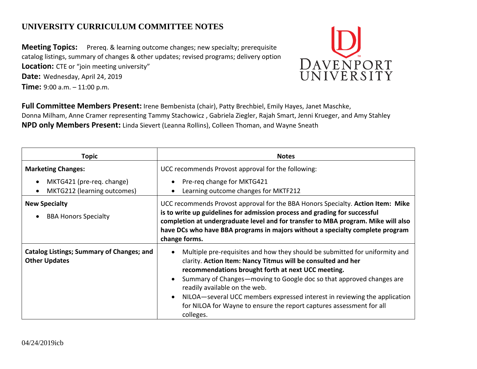## **UNIVERSITY CURRICULUM COMMITTEE NOTES**

**Meeting Topics:** Prereq. & learning outcome changes; new specialty; prerequisite catalog listings, summary of changes & other updates; revised programs; delivery option **Location:** CTE or "join meeting university"

**Date:** Wednesday, April 24, 2019

**Time:** 9:00 a.m. – 11:00 p.m.



**Full Committee Members Present:** Irene Bembenista (chair), Patty Brechbiel, Emily Hayes, Janet Maschke, Donna Milham, Anne Cramer representing Tammy Stachowicz , Gabriela Ziegler, Rajah Smart, Jenni Krueger, and Amy Stahley **NPD only Members Present:** Linda Sievert (Leanna Rollins), Colleen Thoman, and Wayne Sneath

| <b>Topic</b>                                                             | <b>Notes</b>                                                                                                                                                                                                                                                                                                                                                                                                                                                                 |
|--------------------------------------------------------------------------|------------------------------------------------------------------------------------------------------------------------------------------------------------------------------------------------------------------------------------------------------------------------------------------------------------------------------------------------------------------------------------------------------------------------------------------------------------------------------|
| <b>Marketing Changes:</b>                                                | UCC recommends Provost approval for the following:                                                                                                                                                                                                                                                                                                                                                                                                                           |
| MKTG421 (pre-req. change)<br>MKTG212 (learning outcomes)                 | Pre-req change for MKTG421<br>Learning outcome changes for MKTF212                                                                                                                                                                                                                                                                                                                                                                                                           |
| <b>New Specialty</b><br><b>BBA Honors Specialty</b>                      | UCC recommends Provost approval for the BBA Honors Specialty. Action Item: Mike<br>is to write up guidelines for admission process and grading for successful<br>completion at undergraduate level and for transfer to MBA program. Mike will also<br>have DCs who have BBA programs in majors without a specialty complete program<br>change forms.                                                                                                                         |
| <b>Catalog Listings; Summary of Changes; and</b><br><b>Other Updates</b> | Multiple pre-requisites and how they should be submitted for uniformity and<br>clarity. Action Item: Nancy Titmus will be consulted and her<br>recommendations brought forth at next UCC meeting.<br>Summary of Changes—moving to Google doc so that approved changes are<br>readily available on the web.<br>NILOA—several UCC members expressed interest in reviewing the application<br>for NILOA for Wayne to ensure the report captures assessment for all<br>colleges. |